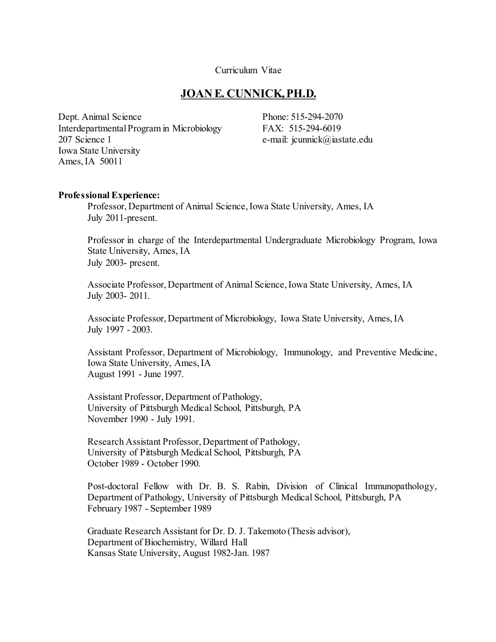#### Curriculum Vitae

#### **JOAN E. CUNNICK, PH.D.**

Dept. Animal Science Interdepartmental Program in Microbiology 207 Science 1 Iowa State University Ames, IA 50011

Phone: 515-294-2070 FAX: 515-294-6019 e-mail: jcunnick@iastate.edu

#### **Professional Experience:**

Professor, Department of Animal Science, Iowa State University, Ames, IA July 2011-present.

Professor in charge of the Interdepartmental Undergraduate Microbiology Program, Iowa State University, Ames, IA July 2003- present.

Associate Professor, Department of Animal Science, Iowa State University, Ames, IA July 2003- 2011.

Associate Professor, Department of Microbiology, Iowa State University, Ames, IA July 1997 - 2003.

Assistant Professor, Department of Microbiology, Immunology, and Preventive Medicine, Iowa State University, Ames, IA August 1991 - June 1997.

Assistant Professor, Department of Pathology, University of Pittsburgh Medical School, Pittsburgh, PA November 1990 - July 1991.

Research Assistant Professor, Department of Pathology, University of Pittsburgh Medical School, Pittsburgh, PA October 1989 - October 1990.

Post-doctoral Fellow with Dr. B. S. Rabin, Division of Clinical Immunopathology, Department of Pathology, University of Pittsburgh Medical School, Pittsburgh, PA February 1987 - September 1989

 Graduate Research Assistant for Dr. D. J. Takemoto (Thesis advisor), Department of Biochemistry, Willard Hall Kansas State University, August 1982-Jan. 1987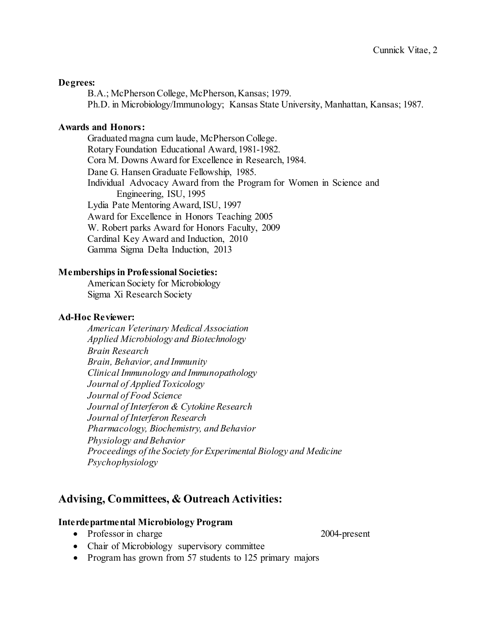#### **Degrees:**

B.A.; McPherson College, McPherson, Kansas; 1979. Ph.D. in Microbiology/Immunology; Kansas State University, Manhattan, Kansas; 1987.

#### **Awards and Honors:**

Graduated magna cum laude, McPherson College. Rotary Foundation Educational Award, 1981-1982. Cora M. Downs Award for Excellence in Research, 1984. Dane G. Hansen Graduate Fellowship, 1985. Individual Advocacy Award from the Program for Women in Science and Engineering, ISU, 1995 Lydia Pate Mentoring Award, ISU, 1997 Award for Excellence in Honors Teaching 2005 W. Robert parks Award for Honors Faculty, 2009 Cardinal Key Award and Induction, 2010 Gamma Sigma Delta Induction, 2013

#### **Memberships in Professional Societies:**

 American Society for Microbiology Sigma Xi Research Society

#### **Ad-Hoc Reviewer:**

*American Veterinary Medical Association Applied Microbiology and Biotechnology Brain Research Brain, Behavior, and Immunity Clinical Immunology and Immunopathology Journal of Applied Toxicology Journal of Food Science Journal of Interferon & Cytokine Research Journal of Interferon Research Pharmacology, Biochemistry, and Behavior Physiology and Behavior Proceedings of the Society for Experimental Biology and Medicine Psychophysiology*

### **Advising, Committees, & Outreach Activities:**

#### **Interdepartmental Microbiology Program**

- Professor in charge 2004-present
- Chair of Microbiology supervisory committee
- Program has grown from 57 students to 125 primary majors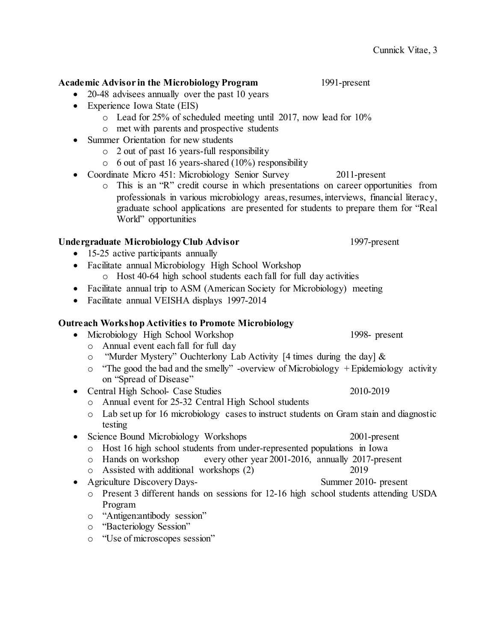#### **Academic Advisor in the Microbiology Program** 1991-present

- 20-48 advisees annually over the past 10 years
- Experience Iowa State (EIS)
	- o Lead for 25% of scheduled meeting until 2017, now lead for 10%
	- o met with parents and prospective students
- Summer Orientation for new students
	- o 2 out of past 16 years-full responsibility
	- o 6 out of past 16 years-shared (10%) responsibility
- Coordinate Micro 451: Microbiology Senior Survey 2011-present
	- o This is an "R" credit course in which presentations on career opportunities from professionals in various microbiology areas, resumes, interviews, financial literacy, graduate school applications are presented for students to prepare them for "Real World" opportunities

### Undergraduate Microbiology Club Advisor 1997-present

- 15-25 active participants annually
- Facilitate annual Microbiology High School Workshop
	- o Host 40-64 high school students each fall for full day activities
- Facilitate annual trip to ASM (American Society for Microbiology) meeting
- Facilitate annual VEISHA displays 1997-2014

### **Outreach Workshop Activities to Promote Microbiology**

- Microbiology High School Workshop 1998- present o Annual event each fall for full day
	- o "Murder Mystery" Ouchterlony Lab Activity [4 times during the day] &
	- $\circ$  "The good the bad and the smelly" -overview of Microbiology + Epidemiology activity on "Spread of Disease"
- Central High School- Case Studies 2010-2019
	- o Annual event for 25-32 Central High School students
	- o Lab set up for 16 microbiology cases to instruct students on Gram stain and diagnostic testing
- Science Bound Microbiology Workshops 2001-present
	- o Host 16 high school students from under-represented populations in Iowa<br>
	o Hands on workshop every other year 2001-2016, annually 2017-pres
	- every other year 2001-2016, annually 2017-present
	- o Assisted with additional workshops (2) 2019
- Agriculture Discovery Days-<br>
Summer 2010- present
	- o Present 3 different hands on sessions for 12-16 high school students attending USDA Program
	- o "Antigen:antibody session"
	- o "Bacteriology Session"
	- o "Use of microscopes session"

- 
- 
- 
- 
- 
- 
-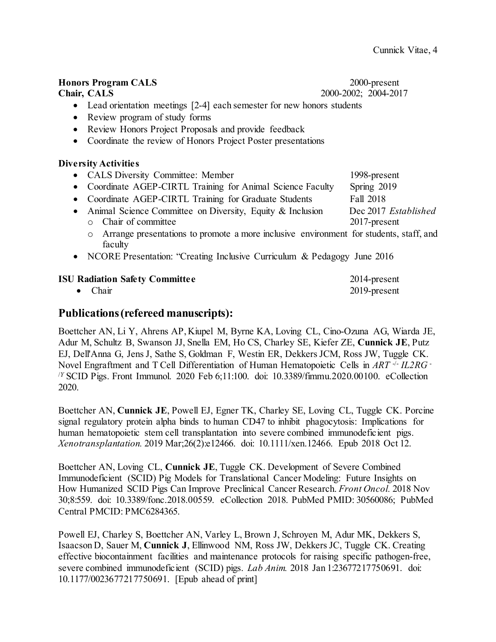# **Honors Program CALS** 2000-present **Chair, CALS** 2000-2002; 2004-2017 • Lead orientation meetings [2-4] each semester for new honors students • Review program of study forms • Review Honors Project Proposals and provide feedback • Coordinate the review of Honors Project Poster presentations **Diversity Activities** • CALS Diversity Committee: Member 1998-present • Coordinate AGEP-CIRTL Training for Animal Science Faculty Spring 2019 • Coordinate AGEP-CIRTL Training for Graduate Students Fall 2018 • Animal Science Committee on Diversity, Equity & Inclusion Dec 2017 *Established* o Chair of committee 2017-present o Arrange presentations to promote a more inclusive environment for students, staff, and faculty • NCORE Presentation: "Creating Inclusive Curriculum & Pedagogy June 2016

**ISU Radiation Safety Committee 2014-present** • Chair 2019-present

# **Publications(refereed manuscripts):**

Boettcher AN, Li Y, Ahrens AP, Kiupel M, Byrne KA, Loving CL, Cino-Ozuna AG, Wiarda JE, Adur M, Schultz B, Swanson JJ, Snella EM, Ho CS, Charley SE, Kiefer ZE, **Cunnick JE**, Putz EJ, Dell'Anna G, Jens J, Sathe S, Goldman F, Westin ER, Dekkers JCM, Ross JW, Tuggle CK. Novel Engraftment and T Cell Differentiation of Human Hematopoietic Cells in *ART* -/- *IL2RG* - /*<sup>Y</sup>* SCID Pigs. Front Immunol. 2020 Feb 6;11:100. doi: 10.3389/fimmu.2020.00100. eCollection 2020.

Boettcher AN, **Cunnick JE**, Powell EJ, Egner TK, Charley SE, Loving CL, Tuggle CK. Porcine signal regulatory protein alpha binds to human CD47 to inhibit phagocytosis: Implications for human hematopoietic stem cell transplantation into severe combined immunodeficient pigs. *Xenotransplantation.* 2019 Mar;26(2):e12466. doi: 10.1111/xen.12466. Epub 2018 Oct 12.

Boettcher AN, Loving CL, **Cunnick JE**, Tuggle CK. Development of Severe Combined Immunodeficient (SCID) Pig Models for Translational Cancer Modeling: Future Insights on How Humanized SCID Pigs Can Improve Preclinical Cancer Research. *Front Oncol.* 2018 Nov 30;8:559. doi: 10.3389/fonc.2018.00559. eCollection 2018. PubMed PMID: 30560086; PubMed Central PMCID: PMC6284365.

Powell EJ, Charley S, Boettcher AN, Varley L, Brown J, Schroyen M, Adur MK, Dekkers S, Isaacson D, Sauer M, **Cunnick J**, Ellinwood NM, Ross JW, Dekkers JC, Tuggle CK. Creating effective biocontainment facilities and maintenance protocols for raising specific pathogen-free, severe combined immunodeficient (SCID) pigs. *Lab Anim.* 2018 Jan 1:23677217750691. doi: 10.1177/0023677217750691. [Epub ahead of print]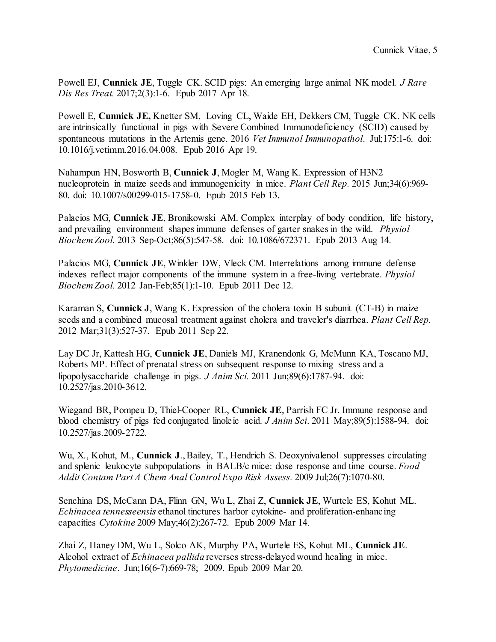Powell EJ, **Cunnick JE**, Tuggle CK. SCID pigs: An emerging large animal NK model. *J Rare Dis Res Treat.* 2017;2(3):1-6. Epub 2017 Apr 18.

Powell E, **Cunnick JE,** Knetter SM, Loving CL, Waide EH, Dekkers CM, Tuggle CK. NK cells are intrinsically functional in pigs with Severe Combined Immunodeficiency (SCID) caused by spontaneous mutations in the Artemis gene. 2016 *Vet Immunol Immunopathol*. Jul;175:1-6. doi: 10.1016/j.vetimm.2016.04.008. Epub 2016 Apr 19.

Nahampun HN, Bosworth B, **Cunnick J**, Mogler M, Wang K. Expression of H3N2 nucleoprotein in maize seeds and immunogenicity in mice. *Plant Cell Rep.* 2015 Jun;34(6):969- 80. doi: 10.1007/s00299-015-1758-0. Epub 2015 Feb 13.

Palacios MG, **Cunnick JE**, Bronikowski AM. Complex interplay of body condition, life history, and prevailing environment shapes immune defenses of garter snakes in the wild. *Physiol Biochem Zool.* 2013 Sep-Oct;86(5):547-58. doi: 10.1086/672371. Epub 2013 Aug 14.

Palacios MG, **Cunnick JE**, Winkler DW, Vleck CM. Interrelations among immune defense indexes reflect major components of the immune system in a free-living vertebrate. *Physiol Biochem Zool.* 2012 Jan-Feb;85(1):1-10. Epub 2011 Dec 12.

Karaman S, **Cunnick J**, Wang K. Expression of the cholera toxin B subunit (CT-B) in maize seeds and a combined mucosal treatment against cholera and traveler's diarrhea. *Plant Cell Rep.* 2012 Mar;31(3):527-37. Epub 2011 Sep 22.

Lay DC Jr, Kattesh HG, **Cunnick JE**, Daniels MJ, Kranendonk G, McMunn KA, Toscano MJ, Roberts MP. Effect of prenatal stress on subsequent response to mixing stress and a lipopolysaccharide challenge in pigs. *J Anim Sci.* 2011 Jun;89(6):1787-94. doi: 10.2527/jas.2010-3612.

Wiegand BR, Pompeu D, Thiel-Cooper RL, **Cunnick JE**, Parrish FC Jr. Immune response and blood chemistry of pigs fed conjugated linoleic acid. *J Anim Sci*. 2011 May;89(5):1588-94. doi: 10.2527/jas.2009-2722.

Wu, X., Kohut, M., **Cunnick J**., Bailey, T., Hendrich S. Deoxynivalenol suppresses circulating and splenic leukocyte subpopulations in BALB/c mice: dose response and time course. *Food Addit Contam Part A Chem Anal Control Expo Risk Assess.* 2009 Jul;26(7):1070-80.

Senchina DS, McCann DA, Flinn GN, Wu L, Zhai Z, **Cunnick JE**, Wurtele ES, Kohut ML. *Echinacea tennesseensis* ethanol tinctures harbor cytokine- and proliferation-enhancing capacities *Cytokine* 2009 May;46(2):267-72. Epub 2009 Mar 14.

Zhai Z, Haney DM, Wu L, Solco AK, Murphy PA**,** Wurtele ES, Kohut ML, **Cunnick JE**. Alcohol extract of *Echinacea pallida* reverses stress-delayed wound healing in mice. *Phytomedicine*. Jun;16(6-7):669-78; 2009. Epub 2009 Mar 20.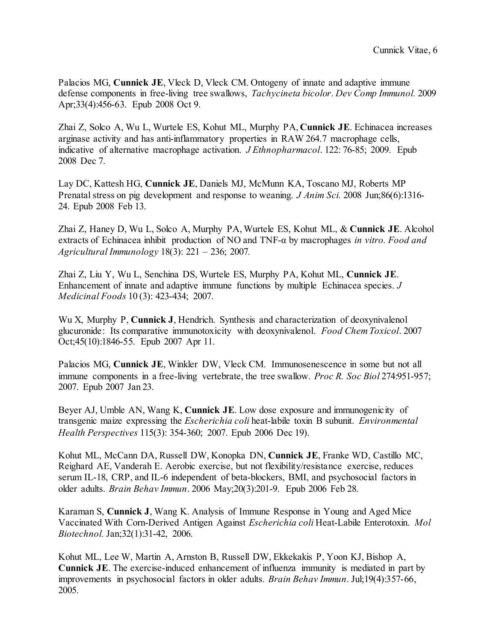Palacios MG, **Cunnick JE**, Vleck D, Vleck CM. Ontogeny of innate and adaptive immune defense components in free-living tree swallows, *Tachycineta bicolor*. *Dev Comp Immunol.* 2009 Apr;33(4):456-63. Epub 2008 Oct 9.

Zhai Z, Solco A, Wu L, Wurtele ES, Kohut ML, Murphy PA, **Cunnick JE**. Echinacea increases arginase activity and has anti-inflammatory properties in RAW 264.7 macrophage cells, indicative of alternative macrophage activation. *J Ethnopharmacol*. 122: 76-85; 2009. Epub 2008 Dec 7.

Lay DC, Kattesh HG, **Cunnick JE**, Daniels MJ, McMunn KA, Toscano MJ, Roberts MP Prenatal stress on pig development and response to weaning. *J Anim Sci.* 2008 Jun;86(6):1316- 24. Epub 2008 Feb 13.

Zhai Z, Haney D, Wu L, Solco A, Murphy PA, Wurtele ES, Kohut ML, & **Cunnick JE**. Alcohol extracts of Echinacea inhibit production of NO and TNF-α by macrophages *in vitro. Food and Agricultural Immunology* 18(3): 221 – 236; 2007*.*

Zhai Z, Liu Y, Wu L, Senchina DS, Wurtele ES, Murphy PA, Kohut ML, **Cunnick JE**. Enhancement of innate and adaptive immune functions by multiple Echinacea species. *J Medicinal Foods* 10 (3): 423-434; 2007.

Wu X, Murphy P, **Cunnick J**, Hendrich. Synthesis and characterization of deoxynivalenol glucuronide: Its comparative immunotoxicity with deoxynivalenol. *Food Chem Toxicol*. 2007 Oct;45(10):1846-55. Epub 2007 Apr 11.

Palacios MG, **Cunnick JE**, Winkler DW, Vleck CM. Immunosenescence in some but not all immune components in a free-living vertebrate, the tree swallow. *Proc R. Soc Biol* 274:951-957; 2007. Epub 2007 Jan 23.

Beyer AJ, Umble AN, Wang K, **Cunnick JE**. Low dose exposure and immunogenicity of transgenic maize expressing the *Escherichia coli* heat-labile toxin B subunit. *Environmental Health Perspectives* 115(3): 354-360; 2007. Epub 2006 Dec 19).

[Kohut ML, McCann DA, Russell DW, Konopka DN,](http://www.ncbi.nlm.nih.gov/entrez/query.fcgi?db=pubmed&cmd=Retrieve&dopt=AbstractPlus&list_uids=16504463&query_hl=1&itool=pubmed_docsum) **Cunnick JE**, Franke WD, Castillo MC, [Reighard AE, Vanderah E.](http://www.ncbi.nlm.nih.gov/entrez/query.fcgi?db=pubmed&cmd=Retrieve&dopt=AbstractPlus&list_uids=16504463&query_hl=1&itool=pubmed_docsum) Aerobic exercise, but not flexibility/resistance exercise, reduces serum IL-18, CRP, and IL-6 independent of beta-blockers, BMI, and psychosocial factors in older adults. *Brain Behav Immun*. 2006 May;20(3):201-9. Epub 2006 Feb 28.

Karaman S, **Cunnick J**, Wang K. Analysis of Immune Response in Young and Aged Mice Vaccinated With Corn-Derived Antigen Against *Escherichia coli* Heat-Labile Enterotoxin. *Mol Biotechnol.* Jan;32(1):31-42, 2006.

Kohut ML, Lee W, Martin A, Arnston B, Russell DW, Ekkekakis P, Yoon KJ, Bishop A, **Cunnick JE**. The exercise-induced enhancement of influenza immunity is mediated in part by improvements in psychosocial factors in older adults. *Brain Behav Immun*. Jul;19(4):357-66, 2005.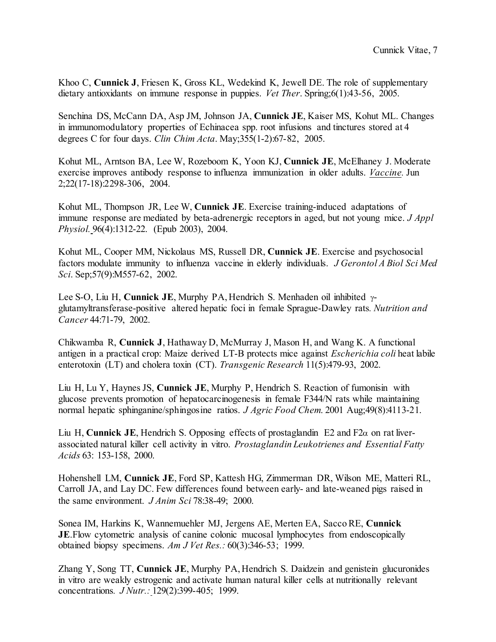Khoo C, **Cunnick J**, Friesen K, Gross KL, Wedekind K, Jewell DE. The role of supplementary dietary antioxidants on immune response in puppies. *Vet Ther*. Spring;6(1):43-56, 2005.

Senchina DS, McCann DA, Asp JM, Johnson JA, **Cunnick JE**, Kaiser MS, Kohut ML. Changes in immunomodulatory properties of Echinacea spp. root infusions and tinctures stored at 4 degrees C for four days. *Clin Chim Acta*. May;355(1-2):67-82, 2005.

Kohut ML, Arntson BA, Lee W, Rozeboom K, Yoon KJ, **Cunnick JE**, McElhaney J. Moderate exercise improves antibody response to influenza immunization in older adults. *Vaccine.* Jun 2;22(17-18):2298-306, 2004.

Kohut ML, Thompson JR, Lee W, **Cunnick JE**. Exercise training-induced adaptations of immune response are mediated by beta-adrenergic receptors in aged, but not young mice. *J Appl Physiol.* 96(4):1312-22. (Epub 2003), 2004.

Kohut ML, Cooper MM, Nickolaus MS, Russell DR, **Cunnick JE**. Exercise and psychosocial factors modulate immunity to influenza vaccine in elderly individuals. *J Gerontol A Biol Sci Med Sci*. Sep;57(9):M557-62, 2002.

Lee S-O, Liu H, **Cunnick JE**, Murphy PA, Hendrich S. Menhaden oil inhibited γglutamyltransferase-positive altered hepatic foci in female Sprague-Dawley rats*. Nutrition and Cancer* 44:71-79, 2002.

Chikwamba R, **Cunnick J**, Hathaway D, McMurray J, Mason H, and Wang K. A functional antigen in a practical crop: Maize derived LT-B protects mice against *Escherichia coli* heat labile enterotoxin (LT) and cholera toxin (CT). *Transgenic Research* 11(5):479-93, 2002.

Liu H, Lu Y, Haynes JS, **Cunnick JE**, Murphy P, Hendrich S. Reaction of fumonisin with glucose prevents promotion of hepatocarcinogenesis in female F344/N rats while maintaining normal hepatic sphinganine/sphingosine ratios. *J Agric Food Chem*. 2001 Aug;49(8):4113-21.

Liu H, **Cunnick JE**, Hendrich S. Opposing effects of prostaglandin E2 and F2 $\alpha$  on rat liverassociated natural killer cell activity in vitro. *Prostaglandin Leukotrienes and Essential Fatty Acids* 63: 153-158, 2000.

Hohenshell LM, **Cunnick JE**, Ford SP, Kattesh HG, Zimmerman DR, Wilson ME, Matteri RL, Carroll JA, and Lay DC. Few differences found between early- and late-weaned pigs raised in the same environment. *J Anim Sci* 78:38-49; 2000.

Sonea IM, Harkins K, Wannemuehler MJ, Jergens AE, Merten EA, Sacco RE, **Cunnick JE.**Flow cytometric analysis of canine colonic mucosal lymphocytes from endoscopically obtained biopsy specimens. *Am J Vet Res.:* 60(3):346-53; 1999.

Zhang Y, Song TT, **Cunnick JE**, Murphy PA, Hendrich S. Daidzein and genistein glucuronides in vitro are weakly estrogenic and activate human natural killer cells at nutritionally relevant concentrations*. J Nutr.:* 129(2):399-405; 1999.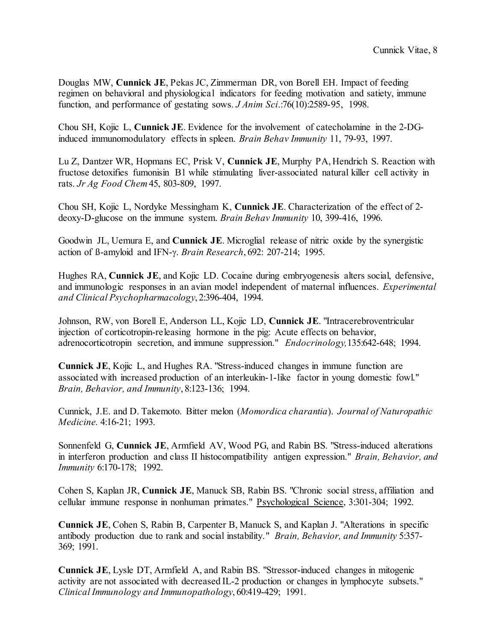Douglas MW, **Cunnick JE**, Pekas JC, Zimmerman DR, von Borell EH. Impact of feeding regimen on behavioral and physiological indicators for feeding motivation and satiety, immune function, and performance of gestating sows. *J Anim Sci*.:76(10):2589-95, 1998.

Chou SH, Kojic L, **Cunnick JE**. Evidence for the involvement of catecholamine in the 2-DGinduced immunomodulatory effects in spleen. *Brain Behav Immunity* 11, 79-93, 1997.

Lu Z, Dantzer WR, Hopmans EC, Prisk V, **Cunnick JE**, Murphy PA, Hendrich S. Reaction with fructose detoxifies fumonisin B1 while stimulating liver-associated natural killer cell activity in rats. *Jr Ag Food Chem* 45, 803-809, 1997.

Chou SH, Kojic L, Nordyke Messingham K, **Cunnick JE**. Characterization of the effect of 2 deoxy-D-glucose on the immune system. *Brain Behav Immunity* 10, 399-416, 1996.

Goodwin JL, Uemura E, and **Cunnick JE**. Microglial release of nitric oxide by the synergistic action of ß-amyloid and IFN-γ. *Brain Research*, 692: 207-214; 1995.

Hughes RA, **Cunnick JE**, and Kojic LD. Cocaine during embryogenesis alters social, defensive, and immunologic responses in an avian model independent of maternal influences. *Experimental and Clinical Psychopharmacology*, 2:396-404, 1994.

Johnson, RW, von Borell E, Anderson LL, Kojic LD, **Cunnick JE**. "Intracerebroventricular injection of corticotropin-releasing hormone in the pig: Acute effects on behavior, adrenocorticotropin secretion, and immune suppression." *Endocrinology,*135:642-648; 1994.

**Cunnick JE**, Kojic L, and Hughes RA. "Stress-induced changes in immune function are associated with increased production of an interleukin-1-like factor in young domestic fowl." *Brain, Behavior, and Immunity*, 8:123-136; 1994.

Cunnick, J.E. and D. Takemoto. Bitter melon (*Momordica charantia*). *Journal of Naturopathic Medicine.* 4:16-21; 1993.

Sonnenfeld G, **Cunnick JE**, Armfield AV, Wood PG, and Rabin BS. "Stress-induced alterations in interferon production and class II histocompatibility antigen expression." *Brain, Behavior, and Immunity* 6:170-178; 1992.

Cohen S, Kaplan JR, **Cunnick JE**, Manuck SB, Rabin BS. "Chronic social stress, affiliation and cellular immune response in nonhuman primates." Psychological Science, 3:301-304; 1992.

**Cunnick JE**, Cohen S, Rabin B, Carpenter B, Manuck S, and Kaplan J. "Alterations in specific antibody production due to rank and social instability." *Brain, Behavior, and Immunity* 5:357- 369; 1991.

**Cunnick JE**, Lysle DT, Armfield A, and Rabin BS. "Stressor-induced changes in mitogenic activity are not associated with decreased IL-2 production or changes in lymphocyte subsets." *Clinical Immunology and Immunopathology*, 60:419-429; 1991.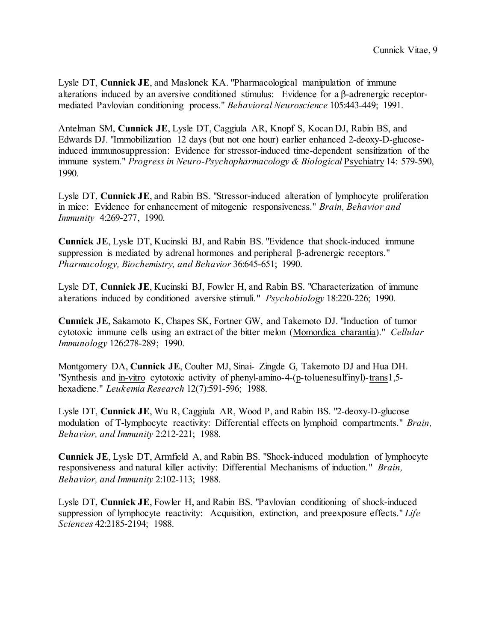Lysle DT, **Cunnick JE**, and Maslonek KA. "Pharmacological manipulation of immune alterations induced by an aversive conditioned stimulus: Evidence for a β-adrenergic receptormediated Pavlovian conditioning process." *Behavioral Neuroscience* 105:443-449; 1991.

Antelman SM, **Cunnick JE**, Lysle DT, Caggiula AR, Knopf S, Kocan DJ, Rabin BS, and Edwards DJ. "Immobilization 12 days (but not one hour) earlier enhanced 2-deoxy-D-glucoseinduced immunosuppression: Evidence for stressor-induced time-dependent sensitization of the immune system." *Progress in Neuro-Psychopharmacology & Biological* Psychiatry 14: 579-590, 1990.

Lysle DT, **Cunnick JE**, and Rabin BS. "Stressor-induced alteration of lymphocyte proliferation in mice: Evidence for enhancement of mitogenic responsiveness." *Brain, Behavior and Immunity* 4:269-277, 1990.

**Cunnick JE**, Lysle DT, Kucinski BJ, and Rabin BS. "Evidence that shock-induced immune suppression is mediated by adrenal hormones and peripheral β-adrenergic receptors." *Pharmacology, Biochemistry, and Behavior* 36:645-651; 1990.

Lysle DT, **Cunnick JE**, Kucinski BJ, Fowler H, and Rabin BS. "Characterization of immune alterations induced by conditioned aversive stimuli." *Psychobiology* 18:220-226; 1990.

**Cunnick JE**, Sakamoto K, Chapes SK, Fortner GW, and Takemoto DJ. "Induction of tumor cytotoxic immune cells using an extract of the bitter melon (Momordica charantia)." *Cellular Immunology* 126:278-289; 1990.

Montgomery DA, **Cunnick JE**, Coulter MJ, Sinai- Zingde G, Takemoto DJ and Hua DH. "Synthesis and in-vitro cytotoxic activity of phenyl-amino-4-(p-toluenesulfinyl)-trans1,5 hexadiene." *Leukemia Research* 12(7):591-596; 1988.

Lysle DT, **Cunnick JE**, Wu R, Caggiula AR, Wood P, and Rabin BS. "2-deoxy-D-glucose modulation of T-lymphocyte reactivity: Differential effects on lymphoid compartments." *Brain, Behavior, and Immunity* 2:212-221; 1988.

**Cunnick JE**, Lysle DT, Armfield A, and Rabin BS. "Shock-induced modulation of lymphocyte responsiveness and natural killer activity: Differential Mechanisms of induction." *Brain, Behavior, and Immunity* 2:102-113; 1988.

Lysle DT, **Cunnick JE**, Fowler H, and Rabin BS. "Pavlovian conditioning of shock-induced suppression of lymphocyte reactivity: Acquisition, extinction, and preexposure effects." *Life Sciences* 42:2185-2194; 1988.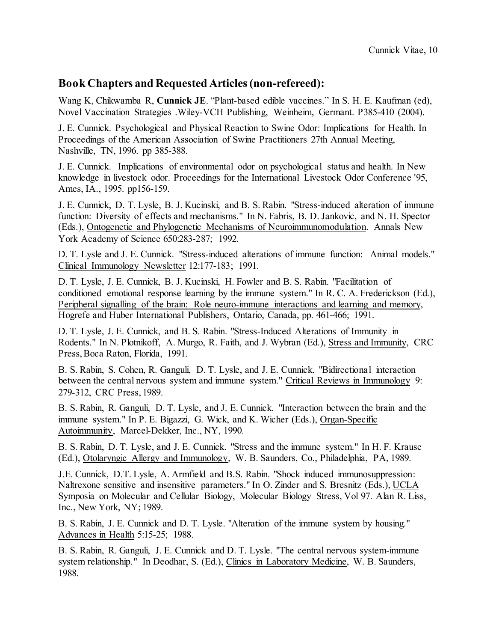## **Book Chapters and Requested Articles(non-refereed):**

Wang K, Chikwamba R, **Cunnick JE**. "Plant-based edible vaccines." In S. H. E. Kaufman (ed), Novel Vaccination Strategies .Wiley-VCH Publishing, Weinheim, Germant. P385-410 (2004).

J. E. Cunnick. Psychological and Physical Reaction to Swine Odor: Implications for Health. In Proceedings of the American Association of Swine Practitioners 27th Annual Meeting, Nashville, TN, 1996. pp 385-388.

J. E. Cunnick. Implications of environmental odor on psychological status and health. In New knowledge in livestock odor. Proceedings for the International Livestock Odor Conference '95, Ames, IA., 1995. pp156-159.

J. E. Cunnick, D. T. Lysle, B. J. Kucinski, and B. S. Rabin. "Stress-induced alteration of immune function: Diversity of effects and mechanisms." In N. Fabris, B. D. Jankovic, and N. H. Spector (Eds.), Ontogenetic and Phylogenetic Mechanisms of Neuroimmunomodulation. Annals New York Academy of Science 650:283-287; 1992.

D. T. Lysle and J. E. Cunnick. "Stress-induced alterations of immune function: Animal models." Clinical Immunology Newsletter 12:177-183; 1991.

D. T. Lysle, J. E. Cunnick, B. J. Kucinski, H. Fowler and B. S. Rabin. "Facilitation of conditioned emotional response learning by the immune system." In R. C. A. Frederickson (Ed.), Peripheral signalling of the brain: Role neuro-immune interactions and learning and memory, Hogrefe and Huber International Publishers, Ontario, Canada, pp. 461-466; 1991.

D. T. Lysle, J. E. Cunnick, and B. S. Rabin. "Stress-Induced Alterations of Immunity in Rodents." In N. Plotnikoff, A. Murgo, R. Faith, and J. Wybran (Ed.), Stress and Immunity, CRC Press, Boca Raton, Florida, 1991.

B. S. Rabin, S. Cohen, R. Ganguli, D. T. Lysle, and J. E. Cunnick. "Bidirectional interaction between the central nervous system and immune system." Critical Reviews in Immunology 9: 279-312, CRC Press, 1989.

B. S. Rabin, R. Ganguli, D. T. Lysle, and J. E. Cunnick. "Interaction between the brain and the immune system." In P. E. Bigazzi, G. Wick, and K. Wicher (Eds.), Organ-Specific Autoimmunity, Marcel-Dekker, Inc., NY, 1990.

B. S. Rabin, D. T. Lysle, and J. E. Cunnick. "Stress and the immune system." In H. F. Krause (Ed.), Otolaryngic Allergy and Immunology, W. B. Saunders, Co., Philadelphia, PA, 1989.

J.E. Cunnick, D.T. Lysle, A. Armfield and B.S. Rabin. "Shock induced immunosuppression: Naltrexone sensitive and insensitive parameters." In O. Zinder and S. Bresnitz (Eds.), UCLA Symposia on Molecular and Cellular Biology, Molecular Biology Stress, Vol 97. Alan R. Liss, Inc., New York, NY; 1989.

B. S. Rabin, J. E. Cunnick and D. T. Lysle. "Alteration of the immune system by housing." Advances in Health 5:15-25; 1988.

B. S. Rabin, R. Ganguli, J. E. Cunnick and D. T. Lysle. "The central nervous system-immune system relationship." In Deodhar, S. (Ed.), Clinics in Laboratory Medicine, W. B. Saunders, 1988.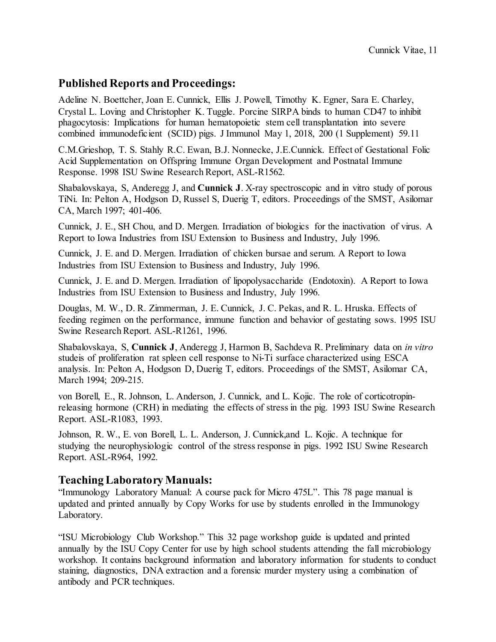### **Published Reports and Proceedings:**

Adeline N. Boettcher, Joan E. Cunnick, Ellis J. Powell, Timothy K. Egner, Sara E. Charley, Crystal L. Loving and Christopher K. Tuggle. Porcine SIRPA binds to human CD47 to inhibit phagocytosis: Implications for human hematopoietic stem cell transplantation into severe combined immunodeficient (SCID) pigs. J Immunol May 1, 2018, 200 (1 Supplement) 59.11

C.M.Grieshop, T. S. Stahly R.C. Ewan, B.J. Nonnecke, J.E.Cunnick. Effect of Gestational Folic Acid Supplementation on Offspring Immune Organ Development and Postnatal Immune Response. 1998 ISU Swine Research Report, ASL-R1562.

Shabalovskaya, S, Anderegg J, and **Cunnick J**. X-ray spectroscopic and in vitro study of porous TiNi. In: Pelton A, Hodgson D, Russel S, Duerig T, editors. Proceedings of the SMST, Asilomar CA, March 1997; 401-406.

Cunnick, J. E., SH Chou, and D. Mergen. Irradiation of biologics for the inactivation of virus. A Report to Iowa Industries from ISU Extension to Business and Industry, July 1996.

Cunnick, J. E. and D. Mergen. Irradiation of chicken bursae and serum. A Report to Iowa Industries from ISU Extension to Business and Industry, July 1996.

Cunnick, J. E. and D. Mergen. Irradiation of lipopolysaccharide (Endotoxin). A Report to Iowa Industries from ISU Extension to Business and Industry, July 1996.

Douglas, M. W., D. R. Zimmerman, J. E. Cunnick, J. C. Pekas, and R. L. Hruska. Effects of feeding regimen on the performance, immune function and behavior of gestating sows. 1995 ISU Swine Research Report. ASL-R1261, 1996.

Shabalovskaya, S, **Cunnick J**, Anderegg J, Harmon B, Sachdeva R. Preliminary data on *in vitro* studeis of proliferation rat spleen cell response to Ni-Ti surface characterized using ESCA analysis. In: Pelton A, Hodgson D, Duerig T, editors. Proceedings of the SMST, Asilomar CA, March 1994; 209-215.

von Borell, E., R. Johnson, L. Anderson, J. Cunnick, and L. Kojic. The role of corticotropinreleasing hormone (CRH) in mediating the effects of stress in the pig. 1993 ISU Swine Research Report. ASL-R1083, 1993.

Johnson, R. W., E. von Borell, L. L. Anderson, J. Cunnick,and L. Kojic. A technique for studying the neurophysiologic control of the stress response in pigs. 1992 ISU Swine Research Report. ASL-R964, 1992.

### **Teaching Laboratory Manuals:**

"Immunology Laboratory Manual: A course pack for Micro 475L". This 78 page manual is updated and printed annually by Copy Works for use by students enrolled in the Immunology Laboratory.

"ISU Microbiology Club Workshop." This 32 page workshop guide is updated and printed annually by the ISU Copy Center for use by high school students attending the fall microbiology workshop. It contains background information and laboratory information for students to conduct staining, diagnostics, DNA extraction and a forensic murder mystery using a combination of antibody and PCR techniques.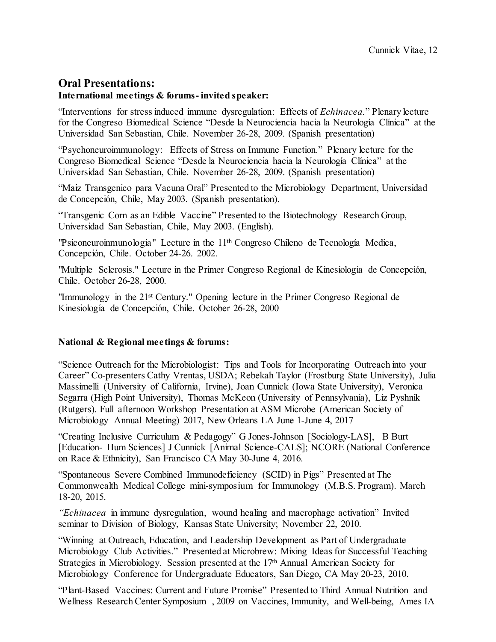### **Oral Presentations:**

#### **International meetings & forums- invited speaker:**

"Interventions for stress induced immune dysregulation: Effects of *Echinacea.*" Plenary lecture for the Congreso Biomedical Science "Desde la Neurociencia hacia la Neurología Clínica" at the Universidad San Sebastian, Chile. November 26-28, 2009. (Spanish presentation)

"Psychoneuroimmunology: Effects of Stress on Immune Function." Plenary lecture for the Congreso Biomedical Science "Desde la Neurociencia hacia la Neurología Clínica" at the Universidad San Sebastian, Chile. November 26-28, 2009. (Spanish presentation)

"Maiz Transgenico para Vacuna Oral" Presented to the Microbiology Department, Universidad de Concepción, Chile, May 2003. (Spanish presentation).

"Transgenic Corn as an Edible Vaccine" Presented to the Biotechnology Research Group, Universidad San Sebastian, Chile, May 2003. (English).

"Psiconeuroinmunologia" Lecture in the  $11<sup>th</sup>$  Congreso Chileno de Tecnología Medica, Concepción, Chile. October 24-26. 2002.

"Multiple Sclerosis." Lecture in the Primer Congreso Regional de Kinesiologia de Concepción, Chile. October 26-28, 2000.

"Immunology in the 21st Century." Opening lecture in the Primer Congreso Regional de Kinesiología de Concepción, Chile. October 26-28, 2000

#### **National & Regional meetings & forums:**

"Science Outreach for the Microbiologist: Tips and Tools for Incorporating Outreach into your Career" Co-presenters Cathy Vrentas, USDA; Rebekah Taylor (Frostburg State University), Julia Massimelli (University of California, Irvine), Joan Cunnick (Iowa State University), Veronica Segarra (High Point University), Thomas McKeon (University of Pennsylvania), Liz Pyshnik (Rutgers). Full afternoon Workshop Presentation at ASM Microbe (American Society of Microbiology Annual Meeting) 2017, New Orleans LA June 1-June 4, 2017

"Creating Inclusive Curriculum & Pedagogy" G Jones-Johnson [Sociology-LAS], B Burt [Education- Hum Sciences] J Cunnick [Animal Science-CALS]; NCORE (National Conference on Race & Ethnicity), San Francisco CA May 30-June 4, 2016.

"Spontaneous Severe Combined Immunodeficiency (SCID) in Pigs" Presented at The Commonwealth Medical College mini-symposium for Immunology (M.B.S. Program). March 18-20, 2015.

*"Echinacea* in immune dysregulation, wound healing and macrophage activation" Invited seminar to Division of Biology, Kansas State University; November 22, 2010.

"Winning at Outreach, Education, and Leadership Development as Part of Undergraduate Microbiology Club Activities." Presented at Microbrew: Mixing Ideas for Successful Teaching Strategies in Microbiology. Session presented at the 17th Annual American Society for Microbiology Conference for Undergraduate Educators, San Diego, CA May 20-23, 2010.

"Plant-Based Vaccines: Current and Future Promise" Presented to Third Annual Nutrition and Wellness Research Center Symposium , 2009 on Vaccines, Immunity, and Well-being, Ames IA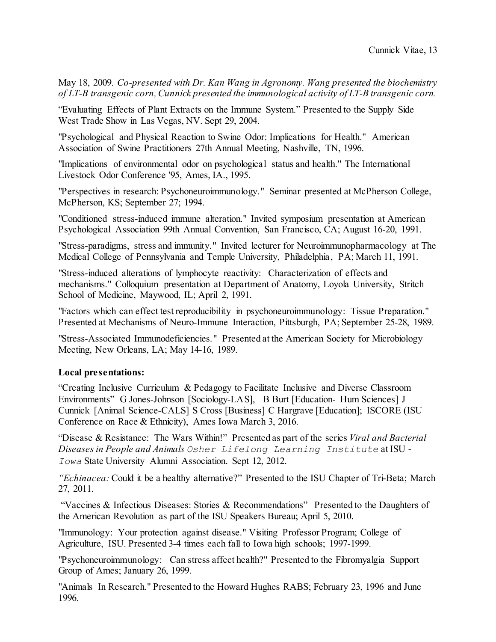May 18, 2009. *Co-presented with Dr. Kan Wang in Agronomy. Wang presented the biochemistry of LT-B transgenic corn, Cunnick presented the immunological activity of LT-B transgenic corn.*

"Evaluating Effects of Plant Extracts on the Immune System." Presented to the Supply Side West Trade Show in Las Vegas, NV. Sept 29, 2004.

"Psychological and Physical Reaction to Swine Odor: Implications for Health." American Association of Swine Practitioners 27th Annual Meeting, Nashville, TN, 1996.

"Implications of environmental odor on psychological status and health." The International Livestock Odor Conference '95, Ames, IA., 1995.

"Perspectives in research: Psychoneuroimmunology." Seminar presented at McPherson College, McPherson, KS; September 27; 1994.

"Conditioned stress-induced immune alteration." Invited symposium presentation at American Psychological Association 99th Annual Convention, San Francisco, CA; August 16-20, 1991.

"Stress-paradigms, stress and immunity." Invited lecturer for Neuroimmunopharmacology at The Medical College of Pennsylvania and Temple University, Philadelphia, PA; March 11, 1991.

"Stress-induced alterations of lymphocyte reactivity: Characterization of effects and mechanisms." Colloquium presentation at Department of Anatomy, Loyola University, Stritch School of Medicine, Maywood, IL; April 2, 1991.

"Factors which can effect test reproducibility in psychoneuroimmunology: Tissue Preparation." Presented at Mechanisms of Neuro-Immune Interaction, Pittsburgh, PA; September 25-28, 1989.

"Stress-Associated Immunodeficiencies." Presented at the American Society for Microbiology Meeting, New Orleans, LA; May 14-16, 1989.

#### **Local presentations:**

"Creating Inclusive Curriculum & Pedagogy to Facilitate Inclusive and Diverse Classroom Environments" G Jones-Johnson [Sociology-LAS], B Burt [Education- Hum Sciences] J Cunnick [Animal Science-CALS] S Cross [Business] C Hargrave [Education]; ISCORE (ISU Conference on Race & Ethnicity), Ames Iowa March 3, 2016.

"Disease & Resistance: The Wars Within!" Presented as part of the series *Viral and Bacterial Diseases in People and Animals Osher Lifelong Learning Institute* at ISU - *Iowa* State University Alumni Association. Sept 12, 2012.

*"Echinacea:* Could it be a healthy alternative?" Presented to the ISU Chapter of Tri-Beta; March 27, 2011.

"Vaccines & Infectious Diseases: Stories & Recommendations" Presented to the Daughters of the American Revolution as part of the ISU Speakers Bureau; April 5, 2010.

"Immunology: Your protection against disease." Visiting Professor Program; College of Agriculture, ISU. Presented 3-4 times each fall to Iowa high schools; 1997-1999.

"Psychoneuroimmunology: Can stress affect health?" Presented to the Fibromyalgia Support Group of Ames; January 26, 1999.

"Animals In Research." Presented to the Howard Hughes RABS; February 23, 1996 and June 1996.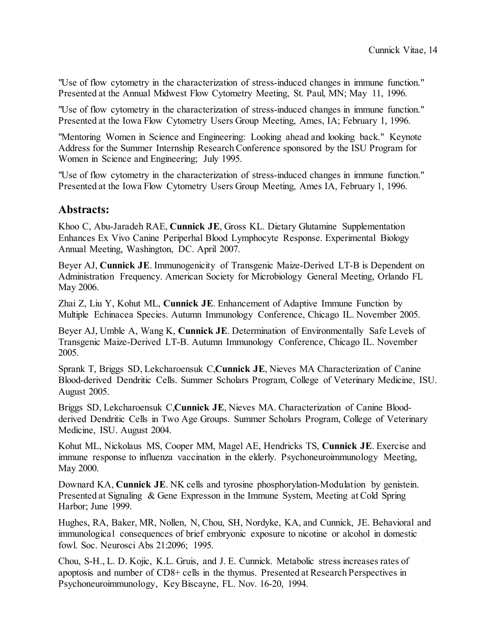"Use of flow cytometry in the characterization of stress-induced changes in immune function." Presented at the Annual Midwest Flow Cytometry Meeting, St. Paul, MN; May 11, 1996.

"Use of flow cytometry in the characterization of stress-induced changes in immune function." Presented at the Iowa Flow Cytometry Users Group Meeting, Ames, IA; February 1, 1996.

"Mentoring Women in Science and Engineering: Looking ahead and looking back." Keynote Address for the Summer Internship Research Conference sponsored by the ISU Program for Women in Science and Engineering; July 1995.

"Use of flow cytometry in the characterization of stress-induced changes in immune function." Presented at the Iowa Flow Cytometry Users Group Meeting, Ames IA, February 1, 1996.

### **Abstracts:**

Khoo C, Abu-Jaradeh RAE, **Cunnick JE**, Gross KL. Dietary Glutamine Supplementation Enhances Ex Vivo Canine Periperhal Blood Lymphocyte Response. Experimental Biology Annual Meeting, Washington, DC. April 2007.

Beyer AJ, **Cunnick JE**. Immunogenicity of Transgenic Maize-Derived LT-B is Dependent on Administration Frequency. American Society for Microbiology General Meeting, Orlando FL May 2006.

Zhai Z, Liu Y, Kohut ML, **Cunnick JE**. Enhancement of Adaptive Immune Function by Multiple Echinacea Species. Autumn Immunology Conference, Chicago IL. November 2005.

Beyer AJ, Umble A, Wang K, **Cunnick JE**. Determination of Environmentally Safe Levels of Transgenic Maize-Derived LT-B. Autumn Immunology Conference, Chicago IL. November 2005.

Sprank T, Briggs SD, Lekcharoensuk C,**Cunnick JE**, Nieves MA Characterization of Canine Blood-derived Dendritic Cells. Summer Scholars Program, College of Veterinary Medicine, ISU. August 2005.

Briggs SD, Lekcharoensuk C,**Cunnick JE**, Nieves MA. Characterization of Canine Bloodderived Dendritic Cells in Two Age Groups. Summer Scholars Program, College of Veterinary Medicine, ISU. August 2004.

Kohut ML, Nickolaus MS, Cooper MM, Magel AE, Hendricks TS, **Cunnick JE**. Exercise and immune response to influenza vaccination in the elderly. Psychoneuroimmunology Meeting, May 2000.

Downard KA, **Cunnick JE**. NK cells and tyrosine phosphorylation-Modulation by genistein. Presented at Signaling & Gene Expresson in the Immune System, Meeting at Cold Spring Harbor; June 1999.

Hughes, RA, Baker, MR, Nollen, N, Chou, SH, Nordyke, KA, and Cunnick, JE. Behavioral and immunological consequences of brief embryonic exposure to nicotine or alcohol in domestic fowl. Soc. Neurosci Abs 21:2096; 1995.

Chou, S-H., L. D. Kojic, K.L. Gruis, and J. E. Cunnick. Metabolic stress increases rates of apoptosis and number of CD8+ cells in the thymus. Presented at Research Perspectives in Psychoneuroimmunology, Key Biscayne, FL. Nov. 16-20, 1994.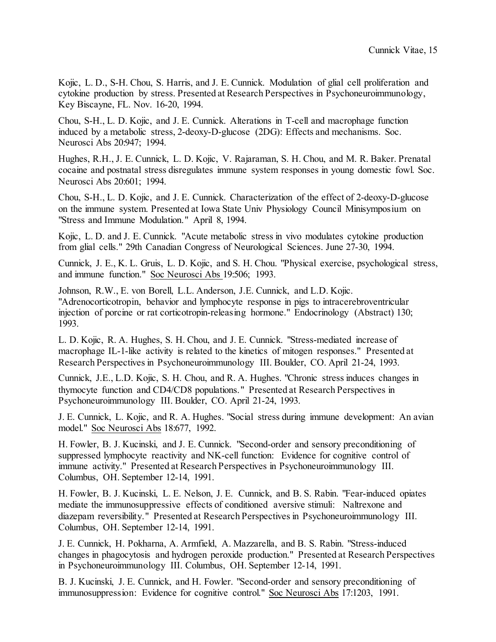Kojic, L. D., S-H. Chou, S. Harris, and J. E. Cunnick. Modulation of glial cell proliferation and cytokine production by stress. Presented at Research Perspectives in Psychoneuroimmunology, Key Biscayne, FL. Nov. 16-20, 1994.

Chou, S-H., L. D. Kojic, and J. E. Cunnick. Alterations in T-cell and macrophage function induced by a metabolic stress, 2-deoxy-D-glucose (2DG): Effects and mechanisms. Soc. Neurosci Abs 20:947; 1994.

Hughes, R.H., J. E. Cunnick, L. D. Kojic, V. Rajaraman, S. H. Chou, and M. R. Baker. Prenatal cocaine and postnatal stress disregulates immune system responses in young domestic fowl. Soc. Neurosci Abs 20:601; 1994.

Chou, S-H., L. D. Kojic, and J. E. Cunnick. Characterization of the effect of 2-deoxy-D-glucose on the immune system. Presented at Iowa State Univ Physiology Council Minisymposium on "Stress and Immune Modulation." April 8, 1994.

Kojic, L. D. and J. E. Cunnick. "Acute metabolic stress in vivo modulates cytokine production from glial cells." 29th Canadian Congress of Neurological Sciences. June 27-30, 1994.

Cunnick, J. E., K. L. Gruis, L. D. Kojic, and S. H. Chou. "Physical exercise, psychological stress, and immune function." Soc Neurosci Abs 19:506; 1993.

Johnson, R.W., E. von Borell, L.L. Anderson, J.E. Cunnick, and L.D. Kojic. "Adrenocorticotropin, behavior and lymphocyte response in pigs to intracerebroventricular injection of porcine or rat corticotropin-releasing hormone." Endocrinology (Abstract) 130; 1993.

L. D. Kojic, R. A. Hughes, S. H. Chou, and J. E. Cunnick. "Stress-mediated increase of macrophage IL-1-like activity is related to the kinetics of mitogen responses." Presented at Research Perspectives in Psychoneuroimmunology III. Boulder, CO. April 21-24, 1993.

Cunnick, J.E., L.D. Kojic, S. H. Chou, and R. A. Hughes. "Chronic stress induces changes in thymocyte function and CD4/CD8 populations." Presented at Research Perspectives in Psychoneuroimmunology III. Boulder, CO. April 21-24, 1993.

J. E. Cunnick, L. Kojic, and R. A. Hughes. "Social stress during immune development: An avian model." Soc Neurosci Abs 18:677, 1992.

H. Fowler, B. J. Kucinski, and J. E. Cunnick. "Second-order and sensory preconditioning of suppressed lymphocyte reactivity and NK-cell function: Evidence for cognitive control of immune activity." Presented at Research Perspectives in Psychoneuroimmunology III. Columbus, OH. September 12-14, 1991.

H. Fowler, B. J. Kucinski, L. E. Nelson, J. E. Cunnick, and B. S. Rabin. "Fear-induced opiates mediate the immunosuppressive effects of conditioned aversive stimuli: Naltrexone and diazepam reversibility." Presented at Research Perspectives in Psychoneuroimmunology III. Columbus, OH. September 12-14, 1991.

J. E. Cunnick, H. Pokharna, A. Armfield, A. Mazzarella, and B. S. Rabin. "Stress-induced changes in phagocytosis and hydrogen peroxide production." Presented at Research Perspectives in Psychoneuroimmunology III. Columbus, OH. September 12-14, 1991.

B. J. Kucinski, J. E. Cunnick, and H. Fowler. "Second-order and sensory preconditioning of immunosuppression: Evidence for cognitive control." Soc Neurosci Abs 17:1203, 1991.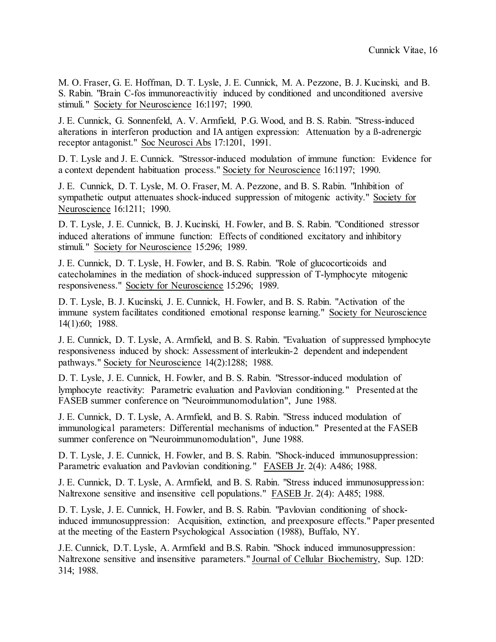M. O. Fraser, G. E. Hoffman, D. T. Lysle, J. E. Cunnick, M. A. Pezzone, B. J. Kucinski, and B. S. Rabin. "Brain C-fos immunoreactivitiy induced by conditioned and unconditioned aversive stimuli." Society for Neuroscience 16:1197; 1990.

J. E. Cunnick, G. Sonnenfeld, A. V. Armfield, P.G. Wood, and B. S. Rabin. "Stress-induced alterations in interferon production and IA antigen expression: Attenuation by a ß-adrenergic receptor antagonist." Soc Neurosci Abs 17:1201, 1991.

D. T. Lysle and J. E. Cunnick. "Stressor-induced modulation of immune function: Evidence for a context dependent habituation process." Society for Neuroscience 16:1197; 1990.

J. E. Cunnick, D. T. Lysle, M. O. Fraser, M. A. Pezzone, and B. S. Rabin. "Inhibition of sympathetic output attenuates shock-induced suppression of mitogenic activity." Society for Neuroscience 16:1211; 1990.

D. T. Lysle, J. E. Cunnick, B. J. Kucinski, H. Fowler, and B. S. Rabin. "Conditioned stressor induced alterations of immune function: Effects of conditioned excitatory and inhibitory stimuli." Society for Neuroscience 15:296; 1989.

J. E. Cunnick, D. T. Lysle, H. Fowler, and B. S. Rabin. "Role of glucocorticoids and catecholamines in the mediation of shock-induced suppression of T-lymphocyte mitogenic responsiveness." Society for Neuroscience 15:296; 1989.

D. T. Lysle, B. J. Kucinski, J. E. Cunnick, H. Fowler, and B. S. Rabin. "Activation of the immune system facilitates conditioned emotional response learning." Society for Neuroscience 14(1):60; 1988.

J. E. Cunnick, D. T. Lysle, A. Armfield, and B. S. Rabin. "Evaluation of suppressed lymphocyte responsiveness induced by shock: Assessment of interleukin-2 dependent and independent pathways." Society for Neuroscience 14(2):1288; 1988.

D. T. Lysle, J. E. Cunnick, H. Fowler, and B. S. Rabin. "Stressor-induced modulation of lymphocyte reactivity: Parametric evaluation and Pavlovian conditioning." Presented at the FASEB summer conference on "Neuroimmunomodulation", June 1988.

J. E. Cunnick, D. T. Lysle, A. Armfield, and B. S. Rabin. "Stress induced modulation of immunological parameters: Differential mechanisms of induction." Presented at the FASEB summer conference on "Neuroimmunomodulation", June 1988.

D. T. Lysle, J. E. Cunnick, H. Fowler, and B. S. Rabin. "Shock-induced immunosuppression: Parametric evaluation and Pavlovian conditioning." FASEB Jr. 2(4): A486; 1988.

J. E. Cunnick, D. T. Lysle, A. Armfield, and B. S. Rabin. "Stress induced immunosuppression: Naltrexone sensitive and insensitive cell populations." FASEB Jr. 2(4): A485; 1988.

D. T. Lysle, J. E. Cunnick, H. Fowler, and B. S. Rabin. "Pavlovian conditioning of shockinduced immunosuppression: Acquisition, extinction, and preexposure effects." Paper presented at the meeting of the Eastern Psychological Association (1988), Buffalo, NY.

J.E. Cunnick, D.T. Lysle, A. Armfield and B.S. Rabin. "Shock induced immunosuppression: Naltrexone sensitive and insensitive parameters." Journal of Cellular Biochemistry, Sup. 12D: 314; 1988.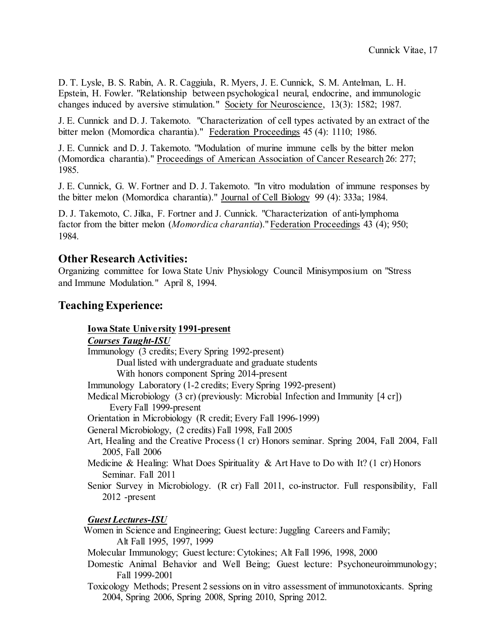D. T. Lysle, B. S. Rabin, A. R. Caggiula, R. Myers, J. E. Cunnick, S. M. Antelman, L. H. Epstein, H. Fowler. "Relationship between psychological neural, endocrine, and immunologic changes induced by aversive stimulation." Society for Neuroscience, 13(3): 1582; 1987.

J. E. Cunnick and D. J. Takemoto. "Characterization of cell types activated by an extract of the bitter melon (Momordica charantia)." Federation Proceedings 45 (4): 1110; 1986.

J. E. Cunnick and D. J. Takemoto. "Modulation of murine immune cells by the bitter melon (Momordica charantia)." Proceedings of American Association of Cancer Research 26: 277; 1985.

J. E. Cunnick, G. W. Fortner and D. J. Takemoto. "In vitro modulation of immune responses by the bitter melon (Momordica charantia)." Journal of Cell Biology 99 (4): 333a; 1984.

D. J. Takemoto, C. Jilka, F. Fortner and J. Cunnick. "Characterization of anti-lymphoma factor from the bitter melon (*Momordica charantia*)." Federation Proceedings 43 (4); 950; 1984.

### **Other Research Activities:**

Organizing committee for Iowa State Univ Physiology Council Minisymposium on "Stress and Immune Modulation." April 8, 1994.

## **Teaching Experience:**

### **Iowa State University 1991-present**

### *Courses Taught-ISU*

Immunology (3 credits; Every Spring 1992-present) Dual listed with undergraduate and graduate students With honors component Spring 2014-present Immunology Laboratory (1-2 credits; Every Spring 1992-present) Medical Microbiology (3 cr) (previously: Microbial Infection and Immunity [4 cr]) Every Fall 1999-present Orientation in Microbiology (R credit; Every Fall 1996-1999) General Microbiology, (2 credits) Fall 1998, Fall 2005 Art, Healing and the Creative Process (1 cr) Honors seminar. Spring 2004, Fall 2004, Fall 2005, Fall 2006 Medicine & Healing: What Does Spirituality & Art Have to Do with It? (1 cr) Honors Seminar. Fall 2011 Senior Survey in Microbiology. (R cr) Fall 2011, co-instructor. Full responsibility, Fall 2012 -present

### *Guest Lectures-ISU*

 Women in Science and Engineering; Guest lecture: Juggling Careers and Family; Alt Fall 1995, 1997, 1999

Molecular Immunology; Guest lecture: Cytokines; Alt Fall 1996, 1998, 2000

- Domestic Animal Behavior and Well Being; Guest lecture: Psychoneuroimmunology; Fall 1999-2001
- Toxicology Methods; Present 2 sessions on in vitro assessment of immunotoxicants. Spring 2004, Spring 2006, Spring 2008, Spring 2010, Spring 2012.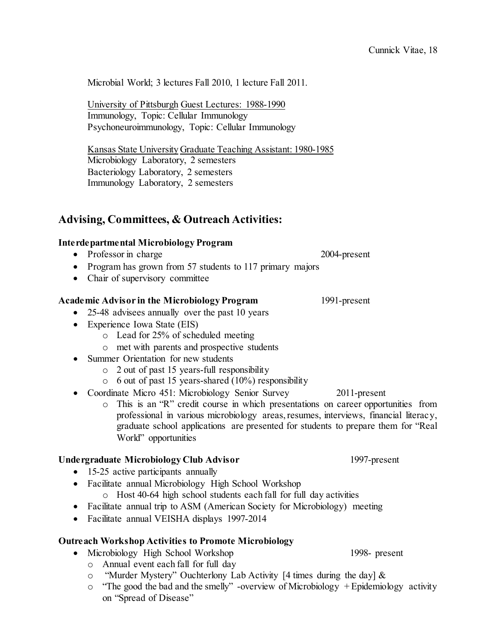Microbial World; 3 lectures Fall 2010, 1 lecture Fall 2011.

University of Pittsburgh Guest Lectures: 1988-1990 Immunology, Topic: Cellular Immunology Psychoneuroimmunology, Topic: Cellular Immunology

Kansas State University Graduate Teaching Assistant: 1980-1985 Microbiology Laboratory, 2 semesters Bacteriology Laboratory, 2 semesters Immunology Laboratory, 2 semesters

### **Advising, Committees, & Outreach Activities:**

#### **Interdepartmental Microbiology Program**

- Professor in charge 2004-present
- Program has grown from 57 students to 117 primary majors
- Chair of supervisory committee

#### **Academic Advisor in the Microbiology Program** 1991-present

- 25-48 advisees annually over the past 10 years
- Experience Iowa State (EIS)
	- o Lead for 25% of scheduled meeting
	- o met with parents and prospective students
- Summer Orientation for new students
	- o 2 out of past 15 years-full responsibility
	- $\circ$  6 out of past 15 years-shared (10%) responsibility
- Coordinate Micro 451: Microbiology Senior Survey 2011-present
	- o This is an "R" credit course in which presentations on career opportunities from professional in various microbiology areas, resumes, interviews, financial literacy, graduate school applications are presented for students to prepare them for "Real World" opportunities

#### **Undergraduate Microbiology Club Advisor** 1997-present

- 15-25 active participants annually
- Facilitate annual Microbiology High School Workshop
	- o Host 40-64 high school students each fall for full day activities
- Facilitate annual trip to ASM (American Society for Microbiology) meeting
- Facilitate annual VEISHA displays 1997-2014

### **Outreach Workshop Activities to Promote Microbiology**

- Microbiology High School Workshop 1998- present
	- o Annual event each fall for full day
	- o "Murder Mystery" Ouchterlony Lab Activity [4 times during the day] &
	- o "The good the bad and the smelly" -overview of Microbiology + Epidemiology activity on "Spread of Disease"